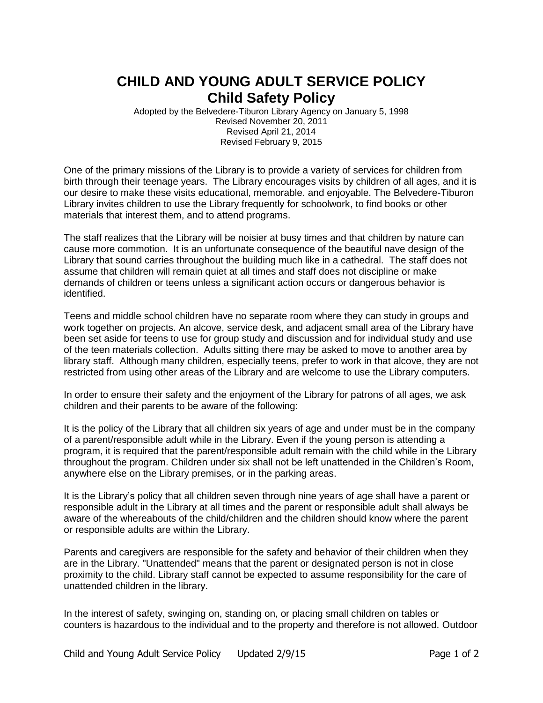## **CHILD AND YOUNG ADULT SERVICE POLICY Child Safety Policy**

Adopted by the Belvedere-Tiburon Library Agency on January 5, 1998 Revised November 20, 2011 Revised April 21, 2014 Revised February 9, 2015

One of the primary missions of the Library is to provide a variety of services for children from birth through their teenage years. The Library encourages visits by children of all ages, and it is our desire to make these visits educational, memorable. and enjoyable. The Belvedere-Tiburon Library invites children to use the Library frequently for schoolwork, to find books or other materials that interest them, and to attend programs.

The staff realizes that the Library will be noisier at busy times and that children by nature can cause more commotion. It is an unfortunate consequence of the beautiful nave design of the Library that sound carries throughout the building much like in a cathedral. The staff does not assume that children will remain quiet at all times and staff does not discipline or make demands of children or teens unless a significant action occurs or dangerous behavior is identified.

Teens and middle school children have no separate room where they can study in groups and work together on projects. An alcove, service desk, and adjacent small area of the Library have been set aside for teens to use for group study and discussion and for individual study and use of the teen materials collection. Adults sitting there may be asked to move to another area by library staff. Although many children, especially teens, prefer to work in that alcove, they are not restricted from using other areas of the Library and are welcome to use the Library computers.

In order to ensure their safety and the enjoyment of the Library for patrons of all ages, we ask children and their parents to be aware of the following:

It is the policy of the Library that all children six years of age and under must be in the company of a parent/responsible adult while in the Library. Even if the young person is attending a program, it is required that the parent/responsible adult remain with the child while in the Library throughout the program. Children under six shall not be left unattended in the Children's Room, anywhere else on the Library premises, or in the parking areas.

It is the Library's policy that all children seven through nine years of age shall have a parent or responsible adult in the Library at all times and the parent or responsible adult shall always be aware of the whereabouts of the child/children and the children should know where the parent or responsible adults are within the Library.

Parents and caregivers are responsible for the safety and behavior of their children when they are in the Library. "Unattended" means that the parent or designated person is not in close proximity to the child. Library staff cannot be expected to assume responsibility for the care of unattended children in the library.

In the interest of safety, swinging on, standing on, or placing small children on tables or counters is hazardous to the individual and to the property and therefore is not allowed. Outdoor